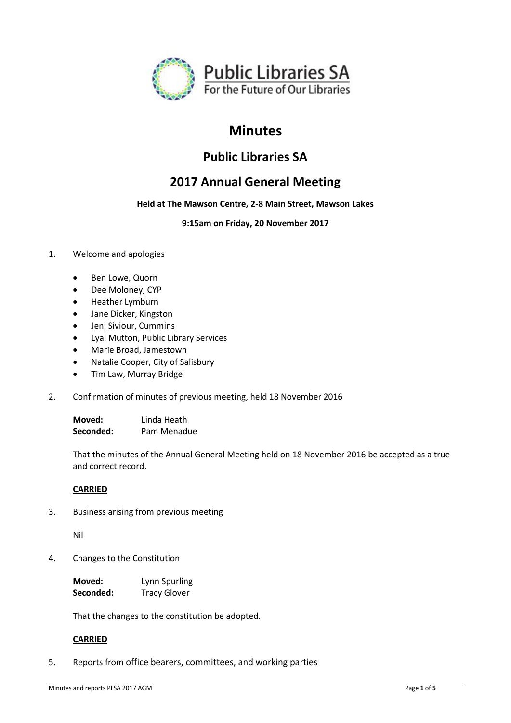

# **Minutes**

# **Public Libraries SA**

# **2017 Annual General Meeting**

## **Held at The Mawson Centre, 2-8 Main Street, Mawson Lakes**

**9:15am on Friday, 20 November 2017**

### 1. Welcome and apologies

- Ben Lowe, Quorn
- Dee Moloney, CYP
- Heather Lymburn
- Jane Dicker, Kingston
- Jeni Siviour, Cummins
- Lyal Mutton, Public Library Services
- Marie Broad, Jamestown
- Natalie Cooper, City of Salisbury
- Tim Law, Murray Bridge
- 2. Confirmation of minutes of previous meeting, held 18 November 2016

**Moved:** Linda Heath **Seconded:** Pam Menadue

That the minutes of the Annual General Meeting held on 18 November 2016 be accepted as a true and correct record.

### **CARRIED**

3. Business arising from previous meeting

Nil

4. Changes to the Constitution

| Moved:    | Lynn Spurling       |
|-----------|---------------------|
| Seconded: | <b>Tracy Glover</b> |

That the changes to the constitution be adopted.

### **CARRIED**

5. Reports from office bearers, committees, and working parties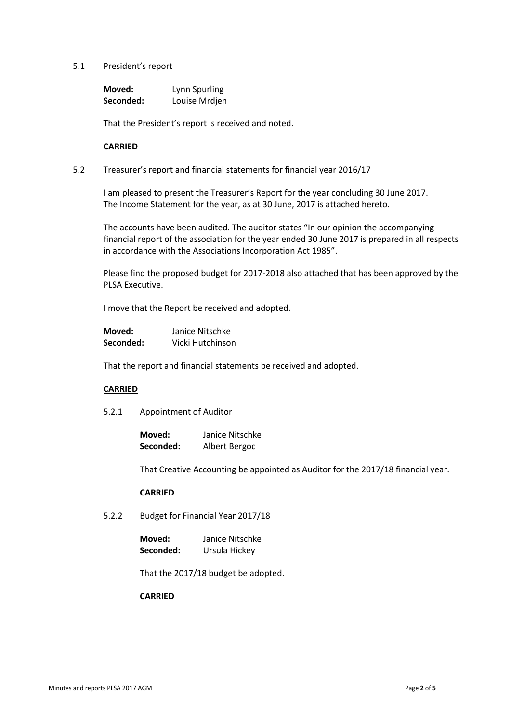#### 5.1 President's report

| Moved:    | Lynn Spurling |
|-----------|---------------|
| Seconded: | Louise Mrdjen |

That the President's report is received and noted.

#### **CARRIED**

5.2 Treasurer's report and financial statements for financial year 2016/17

I am pleased to present the Treasurer's Report for the year concluding 30 June 2017. The Income Statement for the year, as at 30 June, 2017 is attached hereto.

The accounts have been audited. The auditor states "In our opinion the accompanying financial report of the association for the year ended 30 June 2017 is prepared in all respects in accordance with the Associations Incorporation Act 1985".

Please find the proposed budget for 2017-2018 also attached that has been approved by the PLSA Executive.

I move that the Report be received and adopted.

| Moved:    | Janice Nitschke  |
|-----------|------------------|
| Seconded: | Vicki Hutchinson |

That the report and financial statements be received and adopted.

### **CARRIED**

5.2.1 Appointment of Auditor

**Moved:** Janice Nitschke **Seconded:** Albert Bergoc

That Creative Accounting be appointed as Auditor for the 2017/18 financial year.

### **CARRIED**

5.2.2 Budget for Financial Year 2017/18

| Moved:    | Janice Nitschke |
|-----------|-----------------|
| Seconded: | Ursula Hickey   |

That the 2017/18 budget be adopted.

#### **CARRIED**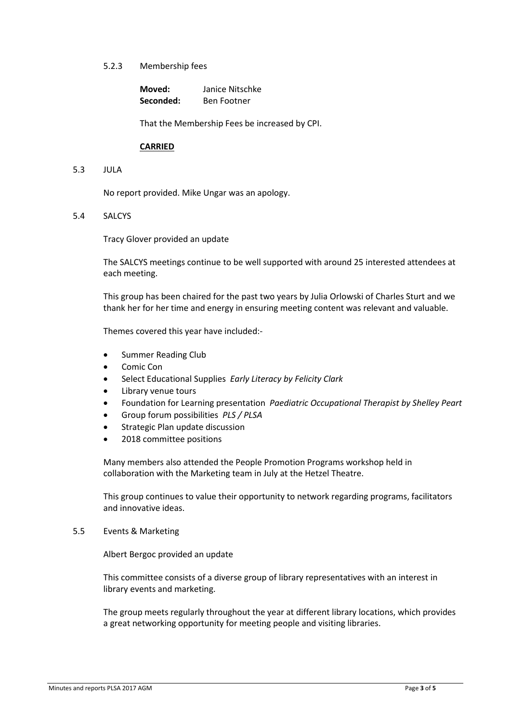#### 5.2.3 Membership fees

**Moved:** Janice Nitschke Seconded: Ben Footner

That the Membership Fees be increased by CPI.

#### **CARRIED**

5.3 JULA

No report provided. Mike Ungar was an apology.

#### 5.4 SALCYS

Tracy Glover provided an update

The SALCYS meetings continue to be well supported with around 25 interested attendees at each meeting.

This group has been chaired for the past two years by Julia Orlowski of Charles Sturt and we thank her for her time and energy in ensuring meeting content was relevant and valuable.

Themes covered this year have included:-

- Summer Reading Club
- Comic Con
- Select Educational Supplies *Early Literacy by Felicity Clark*
- Library venue tours
- Foundation for Learning presentation *Paediatric Occupational Therapist by Shelley Peart*
- Group forum possibilities *PLS / PLSA*
- Strategic Plan update discussion
- 2018 committee positions

Many members also attended the People Promotion Programs workshop held in collaboration with the Marketing team in July at the Hetzel Theatre.

This group continues to value their opportunity to network regarding programs, facilitators and innovative ideas.

### 5.5 Events & Marketing

Albert Bergoc provided an update

This committee consists of a diverse group of library representatives with an interest in library events and marketing.

The group meets regularly throughout the year at different library locations, which provides a great networking opportunity for meeting people and visiting libraries.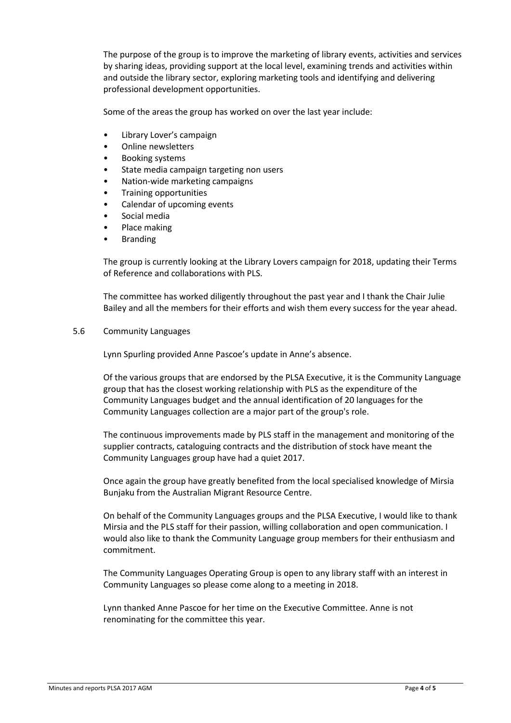The purpose of the group is to improve the marketing of library events, activities and services by sharing ideas, providing support at the local level, examining trends and activities within and outside the library sector, exploring marketing tools and identifying and delivering professional development opportunities.

Some of the areas the group has worked on over the last year include:

- Library Lover's campaign
- Online newsletters
- Booking systems
- State media campaign targeting non users
- Nation-wide marketing campaigns
- Training opportunities
- Calendar of upcoming events
- Social media
- Place making
- **Branding**

The group is currently looking at the Library Lovers campaign for 2018, updating their Terms of Reference and collaborations with PLS.

The committee has worked diligently throughout the past year and I thank the Chair Julie Bailey and all the members for their efforts and wish them every success for the year ahead.

#### 5.6 Community Languages

Lynn Spurling provided Anne Pascoe's update in Anne's absence.

Of the various groups that are endorsed by the PLSA Executive, it is the Community Language group that has the closest working relationship with PLS as the expenditure of the Community Languages budget and the annual identification of 20 languages for the Community Languages collection are a major part of the group's role.

The continuous improvements made by PLS staff in the management and monitoring of the supplier contracts, cataloguing contracts and the distribution of stock have meant the Community Languages group have had a quiet 2017.

Once again the group have greatly benefited from the local specialised knowledge of Mirsia Bunjaku from the Australian Migrant Resource Centre.

On behalf of the Community Languages groups and the PLSA Executive, I would like to thank Mirsia and the PLS staff for their passion, willing collaboration and open communication. I would also like to thank the Community Language group members for their enthusiasm and commitment.

The Community Languages Operating Group is open to any library staff with an interest in Community Languages so please come along to a meeting in 2018.

Lynn thanked Anne Pascoe for her time on the Executive Committee. Anne is not renominating for the committee this year.